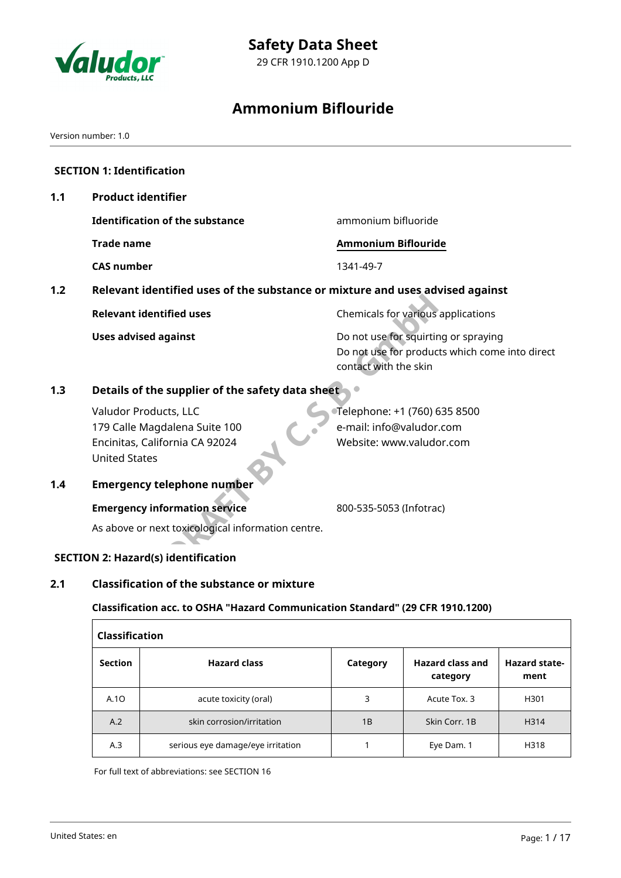

# **Safety Data Sheet**

29 CFR 1910.1200 App D

# **Ammonium Biflouride**

Version number: 1.0

|     | <b>SECTION 1: Identification</b>                                                                                 |                                                                                                                 |
|-----|------------------------------------------------------------------------------------------------------------------|-----------------------------------------------------------------------------------------------------------------|
| 1.1 | <b>Product identifier</b>                                                                                        |                                                                                                                 |
|     | <b>Identification of the substance</b>                                                                           | ammonium bifluoride                                                                                             |
|     | <b>Trade name</b>                                                                                                | <b>Ammonium Biflouride</b>                                                                                      |
|     | <b>CAS number</b>                                                                                                | 1341-49-7                                                                                                       |
| 1.2 | Relevant identified uses of the substance or mixture and uses advised against                                    |                                                                                                                 |
|     | <b>Relevant identified uses</b>                                                                                  | Chemicals for various applications                                                                              |
|     | <b>Uses advised against</b>                                                                                      | Do not use for squirting or spraying<br>Do not use for products which come into direct<br>contact with the skin |
| 1.3 | Details of the supplier of the safety data sheet                                                                 |                                                                                                                 |
|     | Valudor Products, LLC<br>179 Calle Magdalena Suite 100<br>Encinitas, California CA 92024<br><b>United States</b> | Telephone: +1 (760) 635 8500<br>e-mail: info@valudor.com<br>Website: www.valudor.com                            |
| 1.4 | <b>Emergency telephone number</b>                                                                                |                                                                                                                 |
|     | <b>Emergency information service</b>                                                                             | 800-535-5053 (Infotrac)                                                                                         |
|     | As above or next toxicological information centre.                                                               |                                                                                                                 |
|     | <b>SECTION 2: Hazard(s) identification</b>                                                                       |                                                                                                                 |
| 2.1 | <b>Classification of the substance or mixture</b>                                                                |                                                                                                                 |
|     | Classification acc. to OSHA "Hazard Communication Standard" (29 CFR 1910.1200)                                   |                                                                                                                 |
|     | <b>Classification</b>                                                                                            |                                                                                                                 |

| Classification |                                   |          |                                     |                              |  |  |  |
|----------------|-----------------------------------|----------|-------------------------------------|------------------------------|--|--|--|
| <b>Section</b> | <b>Hazard class</b>               | Category | <b>Hazard class and</b><br>category | <b>Hazard state-</b><br>ment |  |  |  |
| A.10           | acute toxicity (oral)             | 3        | Acute Tox. 3                        | H301                         |  |  |  |
| A.2            | skin corrosion/irritation         | 1B       | Skin Corr. 1B                       | H314                         |  |  |  |
| A.3            | serious eye damage/eye irritation |          | Eye Dam. 1                          | H318                         |  |  |  |

For full text of abbreviations: see SECTION 16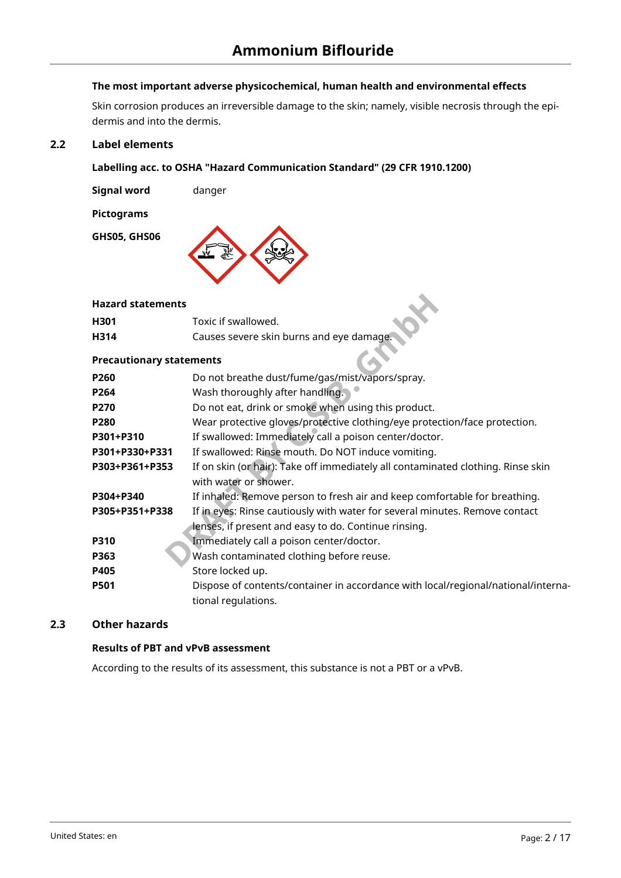# **The most important adverse physicochemical, human health and environmental effects**

Skin corrosion produces an irreversible damage to the skin; namely, visible necrosis through the epidermis and into the dermis.

## **2.2 Label elements**

### **Labelling acc. to OSHA "Hazard Communication Standard" (29 CFR 1910.1200)**

**Signal word** danger

**Pictograms**

**GHS05, GHS06**



#### **Hazard statements**

| H <sub>301</sub> | Toxic if swallowed.                      |  |
|------------------|------------------------------------------|--|
| H314             | Causes severe skin burns and eye damage. |  |

#### **Precautionary statements**

| <b>Hazard statements</b>        |                                                                                                           |
|---------------------------------|-----------------------------------------------------------------------------------------------------------|
| H301                            | Toxic if swallowed.                                                                                       |
| H314                            | Causes severe skin burns and eye damage.                                                                  |
| <b>Precautionary statements</b> |                                                                                                           |
| P260                            | Do not breathe dust/fume/gas/mist/vapors/spray.                                                           |
| P264                            | Wash thoroughly after handling.                                                                           |
| P270                            | Do not eat, drink or smoke when using this product.                                                       |
| P280                            | Wear protective gloves/protective clothing/eye protection/face protection.                                |
| P301+P310                       | If swallowed: Immediately call a poison center/doctor.                                                    |
| P301+P330+P331                  | If swallowed: Rinse mouth. Do NOT induce vomiting.                                                        |
| P303+P361+P353                  | If on skin (or hair): Take off immediately all contaminated clothing. Rinse skin<br>with water or shower. |
| P304+P340                       | If inhaled: Remove person to fresh air and keep comfortable for breathing.                                |
| P305+P351+P338                  | If in eyes: Rinse cautiously with water for several minutes. Remove contact                               |
|                                 | lenses, if present and easy to do. Continue rinsing.                                                      |
| <b>P310</b>                     | Immediately call a poison center/doctor.                                                                  |
| P363                            | Wash contaminated clothing before reuse.                                                                  |
| P405                            | Store locked up.                                                                                          |
| <b>P501</b>                     | Dispose of contents/container in accordance with local/regional/national/interna-                         |
|                                 | tional regulations.                                                                                       |

# **2.3 Other hazards**

# **Results of PBT and vPvB assessment**

According to the results of its assessment, this substance is not a PBT or a vPvB.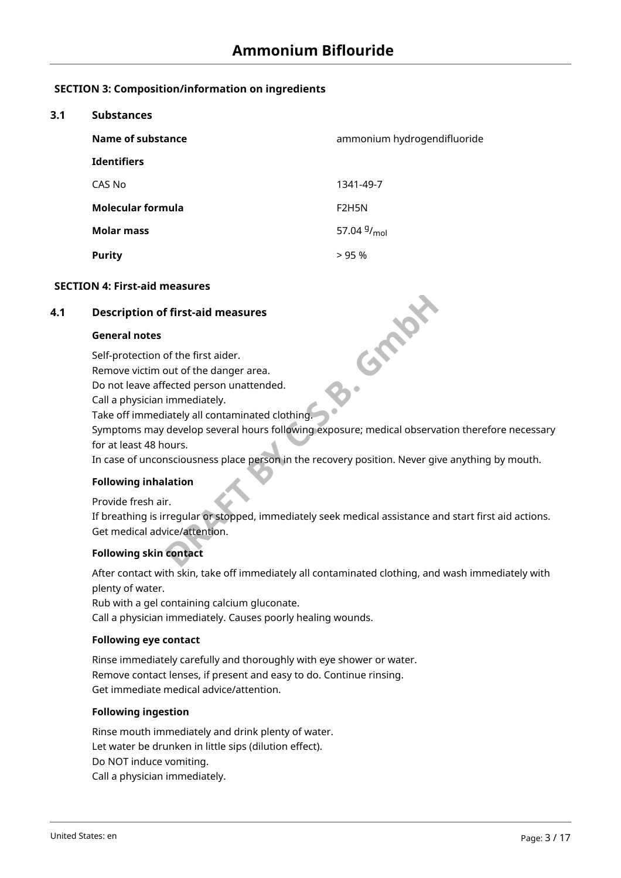# **SECTION 3: Composition/information on ingredients**

#### **3.1 Substances**

| Name of substance  | ammonium hydrogendifluoride     |
|--------------------|---------------------------------|
| <b>Identifiers</b> |                                 |
| CAS No             | 1341-49-7                       |
| Molecular formula  | F <sub>2</sub> H <sub>5</sub> N |
| <b>Molar mass</b>  | 57.04 $9/_{mol}$                |
| <b>Purity</b>      | >95%                            |

#### **SECTION 4: First-aid measures**

#### **4.1 Description of first-aid measures**

#### **General notes**

Self-protection of the first aider.

Remove victim out of the danger area.

Do not leave affected person unattended.

Call a physician immediately.

Take off immediately all contaminated clothing.

Symptoms may develop several hours following exposure; medical observation therefore necessary for at least 48 hours.

**C.S.Maki** 

In case of unconsciousness place person in the recovery position. Never give anything by mouth.

#### **Following inhalation**

Provide fresh air.

If breathing is irregular or stopped, immediately seek medical assistance and start first aid actions. Get medical advice/attention.

# **Following skin contact**

After contact with skin, take off immediately all contaminated clothing, and wash immediately with plenty of water.

Rub with a gel containing calcium gluconate. Call a physician immediately. Causes poorly healing wounds.

#### **Following eye contact**

Rinse immediately carefully and thoroughly with eye shower or water. Remove contact lenses, if present and easy to do. Continue rinsing. Get immediate medical advice/attention.

#### **Following ingestion**

Rinse mouth immediately and drink plenty of water. Let water be drunken in little sips (dilution effect). Do NOT induce vomiting. Call a physician immediately.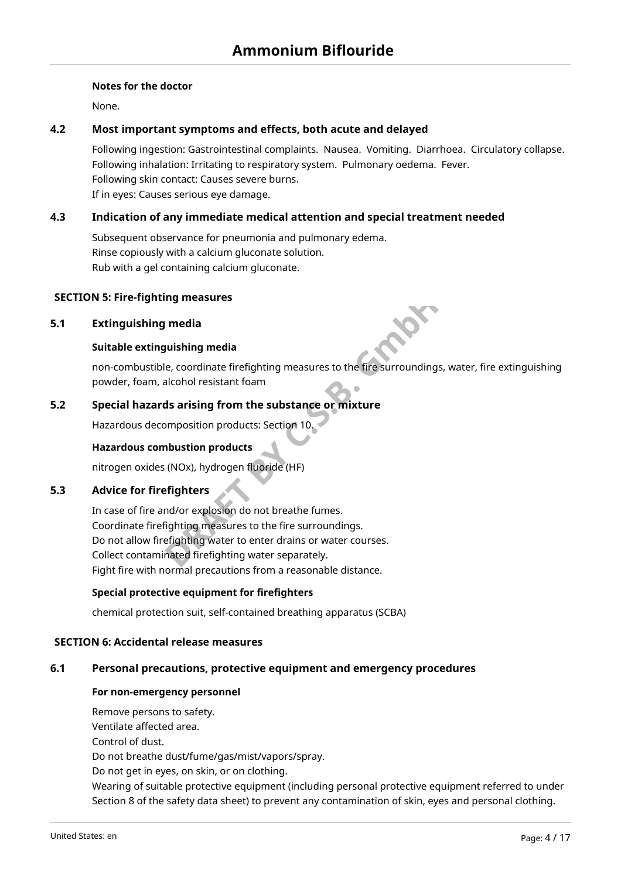#### **Notes for the doctor**

None.

# **4.2 Most important symptoms and effects, both acute and delayed**

Following ingestion: Gastrointestinal complaints. Nausea. Vomiting. Diarrhoea. Circulatory collapse. Following inhalation: Irritating to respiratory system. Pulmonary oedema. Fever. Following skin contact: Causes severe burns. If in eyes: Causes serious eye damage.

# **4.3 Indication of any immediate medical attention and special treatment needed**

Subsequent observance for pneumonia and pulmonary edema. Rinse copiously with a calcium gluconate solution. Rub with a gel containing calcium gluconate.

### **SECTION 5: Fire-fighting measures**

#### **5.1 Extinguishing media**

#### **Suitable extinguishing media**

non-combustible, coordinate firefighting measures to the fire surroundings, water, fire extinguishing powder, foam, alcohol resistant foam

# **5.2 Special hazards arising from the substance or mixture**

Hazardous decomposition products: Section 10.

#### **Hazardous combustion products**

nitrogen oxides (NOx), hydrogen fluoride (HF)

#### **5.3 Advice for firefighters**

**In measures**<br> **PRAFT BY CONTEX CONTEX CONTEX CONTEX CONTEX CONTEX CONTEX CONTEX CONTEX CONTEX CONTEX CONTEX CONTEX CONTEX CONTEX CONTEX CONTEX CONTEX CONTEX CONTEX CONTEX CONTEX CONTEX CONTEX CONTEX CONTEX CONTEX CONTEX C** In case of fire and/or explosion do not breathe fumes. Coordinate firefighting measures to the fire surroundings. Do not allow firefighting water to enter drains or water courses. Collect contaminated firefighting water separately. Fight fire with normal precautions from a reasonable distance.

#### **Special protective equipment for firefighters**

chemical protection suit, self-contained breathing apparatus (SCBA)

#### **SECTION 6: Accidental release measures**

#### **6.1 Personal precautions, protective equipment and emergency procedures**

#### **For non-emergency personnel**

Remove persons to safety. Ventilate affected area. Control of dust.

Do not breathe dust/fume/gas/mist/vapors/spray.

Do not get in eyes, on skin, or on clothing.

Wearing of suitable protective equipment (including personal protective equipment referred to under Section 8 of the safety data sheet) to prevent any contamination of skin, eyes and personal clothing.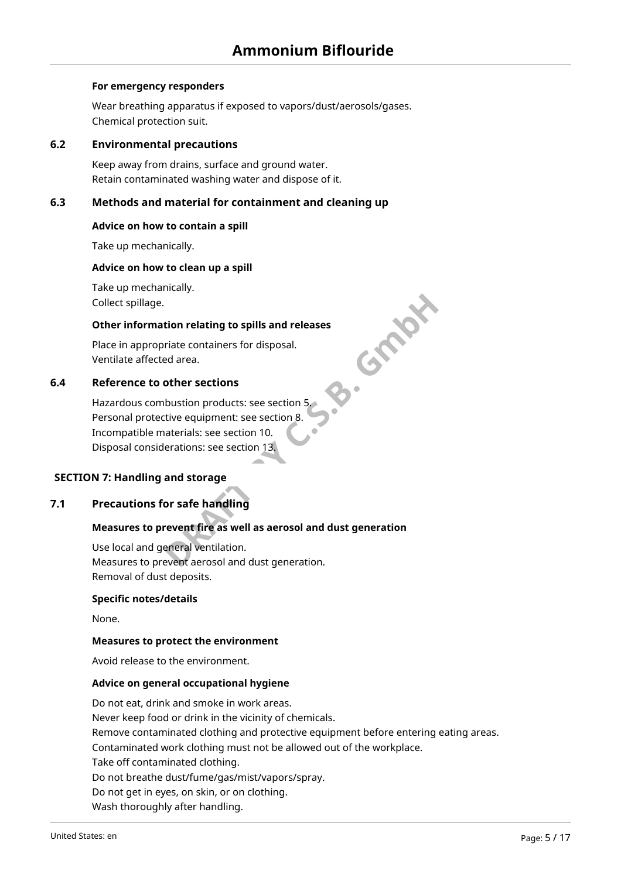#### **For emergency responders**

Wear breathing apparatus if exposed to vapors/dust/aerosols/gases. Chemical protection suit.

#### **6.2 Environmental precautions**

Keep away from drains, surface and ground water. Retain contaminated washing water and dispose of it.

#### **6.3 Methods and material for containment and cleaning up**

#### **Advice on how to contain a spill**

Take up mechanically.

#### **Advice on how to clean up a spill**

Take up mechanically. Collect spillage.

# B. Graph **Other information relating to spills and releases**

Place in appropriate containers for disposal. Ventilate affected area.

# **6.4 Reference to other sections**

Hazardous combustion products: see section 5. Personal protective equipment: see section 8. Incompatible materials: see section 10. Disposal considerations: see section 13.

#### **SECTION 7: Handling and storage**

# **7.1 Precautions for safe handling**

#### **Measures to prevent fire as well as aerosol and dust generation**

Use local and general ventilation. Measures to prevent aerosol and dust generation. Removal of dust deposits.

#### **Specific notes/details**

None.

#### **Measures to protect the environment**

Avoid release to the environment.

#### **Advice on general occupational hygiene**

Do not eat, drink and smoke in work areas. Never keep food or drink in the vicinity of chemicals. Remove contaminated clothing and protective equipment before entering eating areas. Contaminated work clothing must not be allowed out of the workplace. Take off contaminated clothing. Do not breathe dust/fume/gas/mist/vapors/spray. Do not get in eyes, on skin, or on clothing. Wash thoroughly after handling.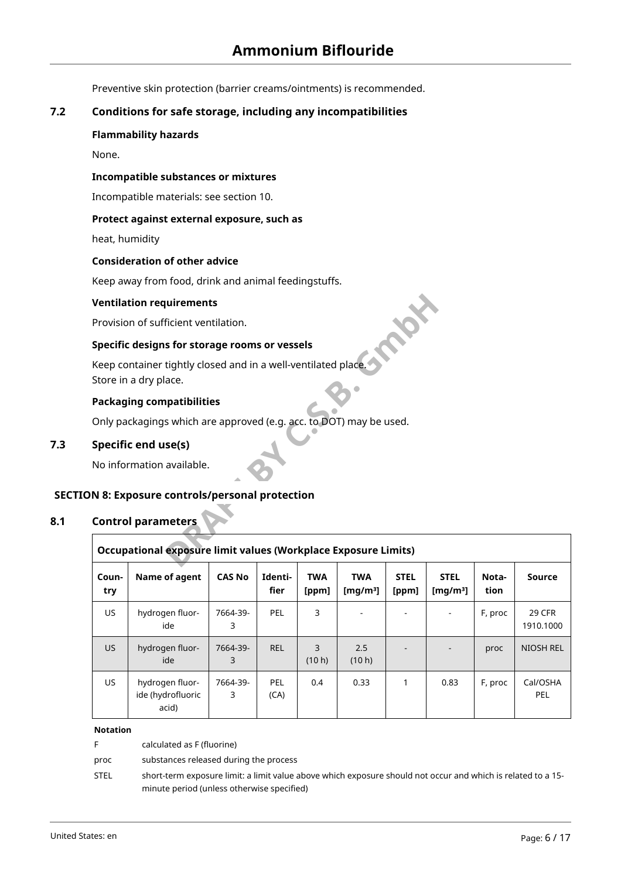Preventive skin protection (barrier creams/ointments) is recommended.

# **7.2 Conditions for safe storage, including any incompatibilities**

#### **Flammability hazards**

None.

## **Incompatible substances or mixtures**

Incompatible materials: see section 10.

#### **Protect against external exposure, such as**

heat, humidity

#### **Consideration of other advice**

Keep away from food, drink and animal feedingstuffs.

#### **Ventilation requirements**

## **Specific designs for storage rooms or vessels**

#### **Packaging compatibilities**

# **7.3 Specific end use(s)**

### **SECTION 8: Exposure controls/personal protection**

### **8.1 Control parameters**

|              | <b>Ventilation requirements</b>                                                        |               |                    |                     |                           |                      |                            |               |                     |
|--------------|----------------------------------------------------------------------------------------|---------------|--------------------|---------------------|---------------------------|----------------------|----------------------------|---------------|---------------------|
|              | Provision of sufficient ventilation.                                                   |               |                    |                     |                           |                      |                            |               |                     |
|              | Specific designs for storage rooms or vessels                                          |               |                    |                     |                           |                      |                            |               |                     |
|              | Keep container tightly closed and in a well-ventilated place.<br>Store in a dry place. |               |                    |                     |                           |                      |                            |               |                     |
|              | <b>Packaging compatibilities</b>                                                       |               |                    |                     |                           |                      |                            |               |                     |
|              | Only packagings which are approved (e.g. acc. to DOT) may be used.                     |               |                    |                     |                           |                      |                            |               |                     |
|              | Specific end use(s)                                                                    |               |                    |                     |                           |                      |                            |               |                     |
|              | No information available.                                                              |               |                    |                     |                           |                      |                            |               |                     |
|              | ON 8: Exposure controls/personal protection<br><b>Control parameters</b>               |               |                    |                     |                           |                      |                            |               |                     |
|              | Occupational exposure limit values (Workplace Exposure Limits)                         |               |                    |                     |                           |                      |                            |               |                     |
| Coun-<br>try | Name of agent                                                                          | <b>CAS No</b> | Identi-<br>fier    | <b>TWA</b><br>[ppm] | <b>TWA</b><br>[ $mg/m3$ ] | <b>STEL</b><br>[ppm] | <b>STEL</b><br>[ $mg/m3$ ] | Nota-<br>tion | Source              |
| <b>US</b>    | hydrogen fluor-<br>ide                                                                 | 7664-39-<br>3 | PEL                | 3                   |                           |                      |                            | F, proc       | 29 CFR<br>1910.1000 |
| US           | hydrogen fluor-<br>ide                                                                 | 7664-39-<br>3 | <b>REL</b>         | 3<br>(10 h)         | 2.5<br>(10 h)             |                      |                            | proc          | NIOSH REL           |
| <b>US</b>    | hydrogen fluor-<br>ide (hydrofluoric                                                   | 7664-39-<br>3 | <b>PEL</b><br>(CA) | 0.4                 | 0.33                      | 1                    | 0.83                       | F, proc       | Cal/OSHA<br>PEL     |

#### **Notation**

|      | calculated as F (fluorine)                                                                                   |
|------|--------------------------------------------------------------------------------------------------------------|
| proc | substances released during the process                                                                       |
| STEL | short-term exposure limit: a limit value above which exposure should not occur and which is related to a 15- |
|      | minute period (unless otherwise specified)                                                                   |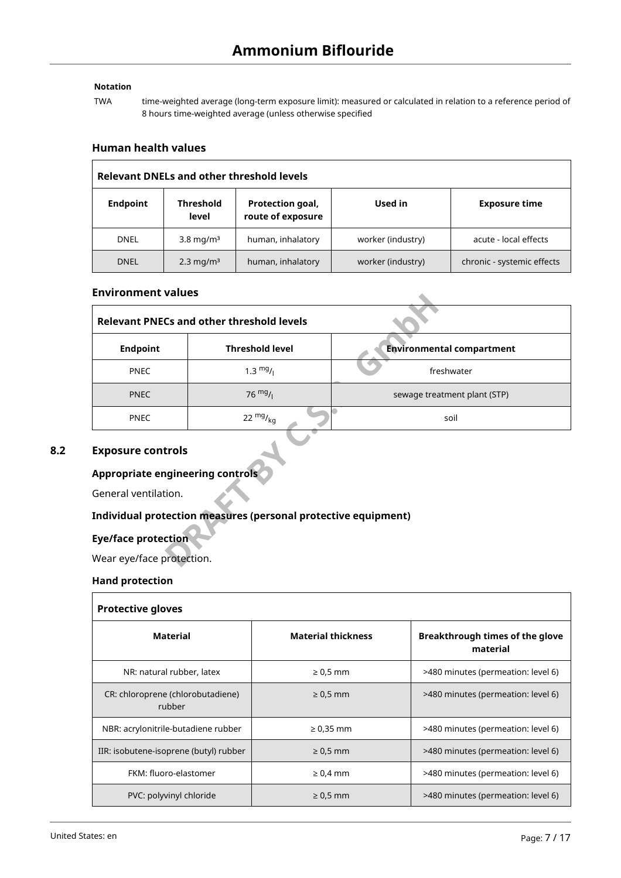# **Notation**

TWA time-weighted average (long-term exposure limit): measured or calculated in relation to a reference period of 8 hours time-weighted average (unless otherwise specified

#### **Human health values**

| <b>Relevant DNELs and other threshold levels</b> |                           |                                       |                   |                            |  |  |
|--------------------------------------------------|---------------------------|---------------------------------------|-------------------|----------------------------|--|--|
| <b>Endpoint</b>                                  | <b>Threshold</b><br>level | Protection goal,<br>route of exposure | Used in           | <b>Exposure time</b>       |  |  |
| <b>DNEL</b>                                      | $3.8 \text{ mg/m}^3$      | human, inhalatory                     | worker (industry) | acute - local effects      |  |  |
| <b>DNEL</b>                                      | $2.3 \,\mathrm{mg/m^3}$   | human, inhalatory                     | worker (industry) | chronic - systemic effects |  |  |

#### **Environment values**

| EIIVII VIIIIICIIL VAIUCS                                       |                                                  |                                  |  |  |  |  |  |
|----------------------------------------------------------------|--------------------------------------------------|----------------------------------|--|--|--|--|--|
|                                                                | <b>Relevant PNECs and other threshold levels</b> |                                  |  |  |  |  |  |
| <b>Endpoint</b>                                                | <b>Threshold level</b>                           | <b>Environmental compartment</b> |  |  |  |  |  |
| <b>PNEC</b>                                                    | $1.3 \frac{mg}{l}$                               | freshwater                       |  |  |  |  |  |
| <b>PNEC</b>                                                    | $76 \frac{mg}{l}$                                | sewage treatment plant (STP)     |  |  |  |  |  |
| <b>PNEC</b>                                                    | 22 $mg/_{kq}$                                    | soil                             |  |  |  |  |  |
| <b>Exposure controls</b>                                       |                                                  |                                  |  |  |  |  |  |
| <b>Appropriate engineering controls</b>                        |                                                  |                                  |  |  |  |  |  |
| General ventilation.                                           |                                                  |                                  |  |  |  |  |  |
| Individual protection measures (personal protective equipment) |                                                  |                                  |  |  |  |  |  |
| <b>Eye/face protection</b>                                     |                                                  |                                  |  |  |  |  |  |
| Wear eye/face protection.                                      |                                                  |                                  |  |  |  |  |  |

### **8.2 Exposure controls**

## **Appropriate engineering controls**

### **Individual protection measures (personal protective equipment)**

#### **Eye/face protection**

#### **Hand protection**

| <b>Protective gloves</b>                    |                           |                                             |  |  |  |  |
|---------------------------------------------|---------------------------|---------------------------------------------|--|--|--|--|
| Material                                    | <b>Material thickness</b> | Breakthrough times of the glove<br>material |  |  |  |  |
| NR: natural rubber, latex                   | $\geq 0.5$ mm             | >480 minutes (permeation: level 6)          |  |  |  |  |
| CR: chloroprene (chlorobutadiene)<br>rubber | $\geq 0.5$ mm             | >480 minutes (permeation: level 6)          |  |  |  |  |
| NBR: acrylonitrile-butadiene rubber         | $\geq 0.35$ mm            | >480 minutes (permeation: level 6)          |  |  |  |  |
| IIR: isobutene-isoprene (butyl) rubber      | $\geq 0.5$ mm             | >480 minutes (permeation: level 6)          |  |  |  |  |
| FKM: fluoro-elastomer                       | $\geq 0.4$ mm             | >480 minutes (permeation: level 6)          |  |  |  |  |
| PVC: polyvinyl chloride                     | $\geq 0.5$ mm             | >480 minutes (permeation: level 6)          |  |  |  |  |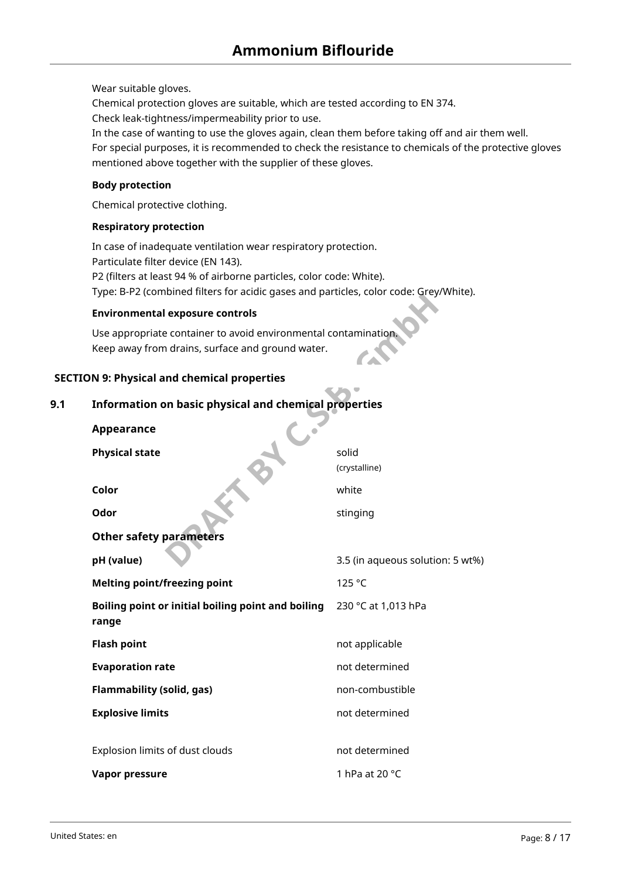Wear suitable gloves.

Chemical protection gloves are suitable, which are tested according to EN 374.

Check leak-tightness/impermeability prior to use.

In the case of wanting to use the gloves again, clean them before taking off and air them well.

For special purposes, it is recommended to check the resistance to chemicals of the protective gloves mentioned above together with the supplier of these gloves.

#### **Body protection**

Chemical protective clothing.

### **Respiratory protection**

In case of inadequate ventilation wear respiratory protection. Particulate filter device (EN 143). P2 (filters at least 94 % of airborne particles, color code: White). Type: B-P2 (combined filters for acidic gases and particles, color code: Grey/White).

#### **Environmental exposure controls**

### **SECTION 9: Physical and chemical properties**

# **9.1 Information on basic physical and chemical properties**

| $\alpha$ , $\beta$ , $\beta$ , $\alpha$ , $\beta$ , $\alpha$ , $\alpha$ , $\alpha$ , $\alpha$ , $\alpha$ , $\alpha$ , $\alpha$ , $\alpha$ , $\alpha$ , $\alpha$ , $\alpha$ , $\alpha$ , $\alpha$ , $\alpha$ , $\alpha$ , $\alpha$ , $\alpha$ , $\alpha$ , $\alpha$ , $\alpha$ , $\alpha$ , $\alpha$ , $\alpha$ , $\alpha$ , $\alpha$ , $\alpha$ , $\alpha$ |                                  |  |  |  |
|------------------------------------------------------------------------------------------------------------------------------------------------------------------------------------------------------------------------------------------------------------------------------------------------------------------------------------------------------------|----------------------------------|--|--|--|
| <b>Environmental exposure controls</b>                                                                                                                                                                                                                                                                                                                     |                                  |  |  |  |
| Use appropriate container to avoid environmental contamination.<br>Keep away from drains, surface and ground water.                                                                                                                                                                                                                                        |                                  |  |  |  |
| ON 9: Physical and chemical properties                                                                                                                                                                                                                                                                                                                     |                                  |  |  |  |
| Information on basic physical and chemical properties                                                                                                                                                                                                                                                                                                      |                                  |  |  |  |
| <b>Appearance</b>                                                                                                                                                                                                                                                                                                                                          |                                  |  |  |  |
| <b>Physical state</b>                                                                                                                                                                                                                                                                                                                                      | solid<br>(crystalline)           |  |  |  |
| Color                                                                                                                                                                                                                                                                                                                                                      | white                            |  |  |  |
| Odor                                                                                                                                                                                                                                                                                                                                                       | stinging                         |  |  |  |
| <b>Other safety parameters</b>                                                                                                                                                                                                                                                                                                                             |                                  |  |  |  |
| pH (value)                                                                                                                                                                                                                                                                                                                                                 | 3.5 (in aqueous solution: 5 wt%) |  |  |  |
| <b>Melting point/freezing point</b>                                                                                                                                                                                                                                                                                                                        | 125 °C                           |  |  |  |
| Boiling point or initial boiling point and boiling<br>range                                                                                                                                                                                                                                                                                                | 230 °C at 1,013 hPa              |  |  |  |
| <b>Flash point</b>                                                                                                                                                                                                                                                                                                                                         | not applicable                   |  |  |  |
| <b>Evaporation rate</b>                                                                                                                                                                                                                                                                                                                                    | not determined                   |  |  |  |
| <b>Flammability (solid, gas)</b>                                                                                                                                                                                                                                                                                                                           | non-combustible                  |  |  |  |
| <b>Explosive limits</b>                                                                                                                                                                                                                                                                                                                                    | not determined                   |  |  |  |
| Explosion limits of dust clouds                                                                                                                                                                                                                                                                                                                            | not determined                   |  |  |  |
| <b>Vapor pressure</b>                                                                                                                                                                                                                                                                                                                                      | 1 hPa at 20 °C                   |  |  |  |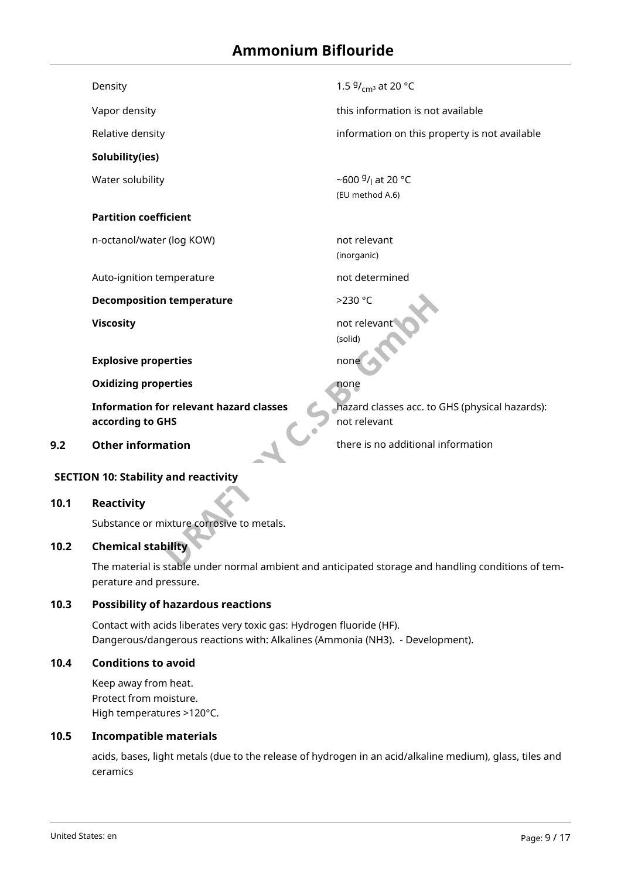# **Ammonium Biflouride**

| Density | . .5 |
|---------|------|
|---------|------|

**Solubility(ies)**

Water solubility

#### **Partition coefficient**

n-octanol/water (log KOW) not relevant

Auto-ignition temperature not determined

**Decomposition temperature**  $>230 °C$ 

**Explosive properties** none

**Oxidizing properties** and **none** 

**DRAFT BY:**<br> **DRAFT BY:**<br> **DRAFT BY:**<br> **DRAFT BY:**<br> **DRAFT BY:**<br> **DRAFT BY:**<br> **DRAFT BY:**<br> **DRAFT BY:**<br> **DRAFT BY:**<br> **DRAFT BY:**<br> **DRAFT BY:**<br> **DRAFT BY:**<br> **DRAFT BY:**<br> **DRAFT BY:**<br> **DRAFT BY:**<br> **DRAFT BY:**<br> **DRAFT BY:**<br> **Information for relevant hazard classes according to GHS**

<sup>g</sup>/<sub>cmª</sub> at 20 °C

Vapor density this information is not available

Relative density information on this property is not available

<sup>g</sup>/<sub>l</sub> at 20 °C (EU method A.6)

(inorganic)

**Viscosity not relevant viscosity not relevant** (solid)

hazard classes acc. to GHS (physical hazards): not relevant

**9.2 Other information 19.2 Other information** 

#### **SECTION 10: Stability and reactivity**

#### **10.1 Reactivity**

Substance or mixture corrosive to metals.

# **10.2 Chemical stability**

The material is stable under normal ambient and anticipated storage and handling conditions of temperature and pressure.

#### **10.3 Possibility of hazardous reactions**

Contact with acids liberates very toxic gas: Hydrogen fluoride (HF). Dangerous/dangerous reactions with: Alkalines (Ammonia (NH3). - Development).

#### **10.4 Conditions to avoid**

Keep away from heat. Protect from moisture. High temperatures >120°C.

#### **10.5 Incompatible materials**

acids, bases, light metals (due to the release of hydrogen in an acid/alkaline medium), glass, tiles and ceramics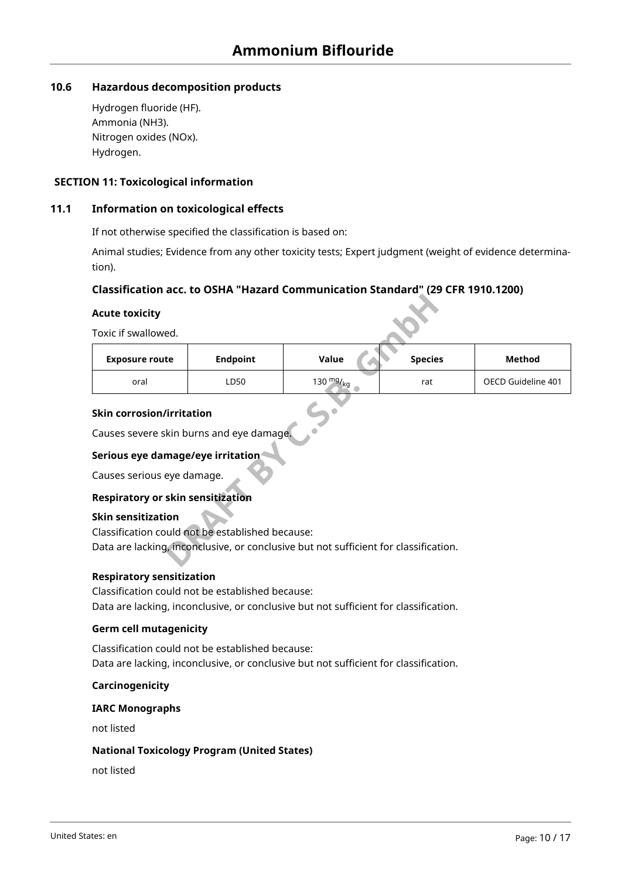# **10.6 Hazardous decomposition products**

Hydrogen fluoride (HF). Ammonia (NH3). Nitrogen oxides (NOx). Hydrogen.

### **SECTION 11: Toxicological information**

### **11.1 Information on toxicological effects**

If not otherwise specified the classification is based on:

Animal studies; Evidence from any other toxicity tests; Expert judgment (weight of evidence determination).

### **Classification acc. to OSHA "Hazard Communication Standard" (29 CFR 1910.1200)**

#### **Acute toxicity**

| <b>Acute toxicity</b>                                                                                                                           |                 |                                                                                      |                |                    |
|-------------------------------------------------------------------------------------------------------------------------------------------------|-----------------|--------------------------------------------------------------------------------------|----------------|--------------------|
| Toxic if swallowed.                                                                                                                             |                 |                                                                                      |                |                    |
| <b>Exposure route</b>                                                                                                                           | <b>Endpoint</b> | Value                                                                                | <b>Species</b> | <b>Method</b>      |
| oral                                                                                                                                            | LD50            | 130 $mg/_{kg}$                                                                       | rat            | OECD Guideline 401 |
| <b>Skin corrosion/irritation</b><br>Causes severe skin burns and eye damage.<br>Serious eye damage/eye irritation<br>Causes serious eye damage. |                 |                                                                                      |                |                    |
| <b>Respiratory or skin sensitization</b>                                                                                                        |                 |                                                                                      |                |                    |
| <b>Skin sensitization</b>                                                                                                                       |                 |                                                                                      |                |                    |
| Classification could not be established because:                                                                                                |                 |                                                                                      |                |                    |
|                                                                                                                                                 |                 | Data are lacking, inconclusive, or conclusive but not sufficient for classification. |                |                    |

#### **Skin corrosion/irritation**

### **Serious eye damage/eye irritation**

#### **Respiratory or skin sensitization**

#### **Skin sensitization**

#### **Respiratory sensitization**

Classification could not be established because: Data are lacking, inconclusive, or conclusive but not sufficient for classification.

#### **Germ cell mutagenicity**

Classification could not be established because: Data are lacking, inconclusive, or conclusive but not sufficient for classification.

#### **Carcinogenicity**

#### **IARC Monographs**

not listed

#### **National Toxicology Program (United States)**

not listed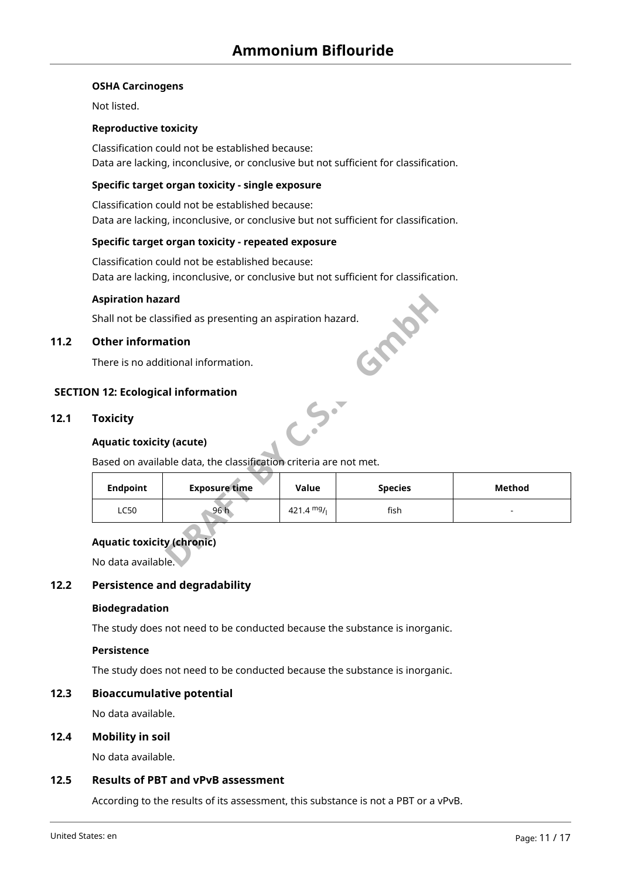#### **OSHA Carcinogens**

Not listed.

#### **Reproductive toxicity**

Classification could not be established because: Data are lacking, inconclusive, or conclusive but not sufficient for classification.

#### **Specific target organ toxicity - single exposure**

Classification could not be established because: Data are lacking, inconclusive, or conclusive but not sufficient for classification.

#### **Specific target organ toxicity - repeated exposure**

Classification could not be established because: Data are lacking, inconclusive, or conclusive but not sufficient for classification.

#### **Aspiration hazard**

#### **11.2 Other information**

#### **SECTION 12: Ecological information**

#### **12.1 Toxicity**

#### **Aquatic toxicity (acute)**

| <b>Aspiration hazard</b>                                |                                                                   |              |                |               |
|---------------------------------------------------------|-------------------------------------------------------------------|--------------|----------------|---------------|
|                                                         | Shall not be classified as presenting an aspiration hazard.       |              |                |               |
| <b>Other information</b>                                |                                                                   |              |                |               |
|                                                         | There is no additional information.                               |              |                |               |
| N 12: Ecological information                            |                                                                   |              |                |               |
| <b>Toxicity</b><br><b>Aquatic toxicity (acute)</b>      |                                                                   |              |                |               |
|                                                         | Based on available data, the classification criteria are not met. |              |                |               |
| <b>Endpoint</b>                                         | <b>Exposure time</b>                                              | Value        | <b>Species</b> | <b>Method</b> |
| <b>LC50</b>                                             | 96 h                                                              | 421.4 $mg/1$ | fish           |               |
| <b>Aquatic toxicity (chronic)</b><br>No data available. |                                                                   |              |                |               |

#### **Aquatic toxicity (chronic)**

#### **12.2 Persistence and degradability**

#### **Biodegradation**

The study does not need to be conducted because the substance is inorganic.

#### **Persistence**

The study does not need to be conducted because the substance is inorganic.

#### **12.3 Bioaccumulative potential**

No data available.

#### **12.4 Mobility in soil**

No data available.

#### **12.5 Results of PBT and vPvB assessment**

According to the results of its assessment, this substance is not a PBT or a vPvB.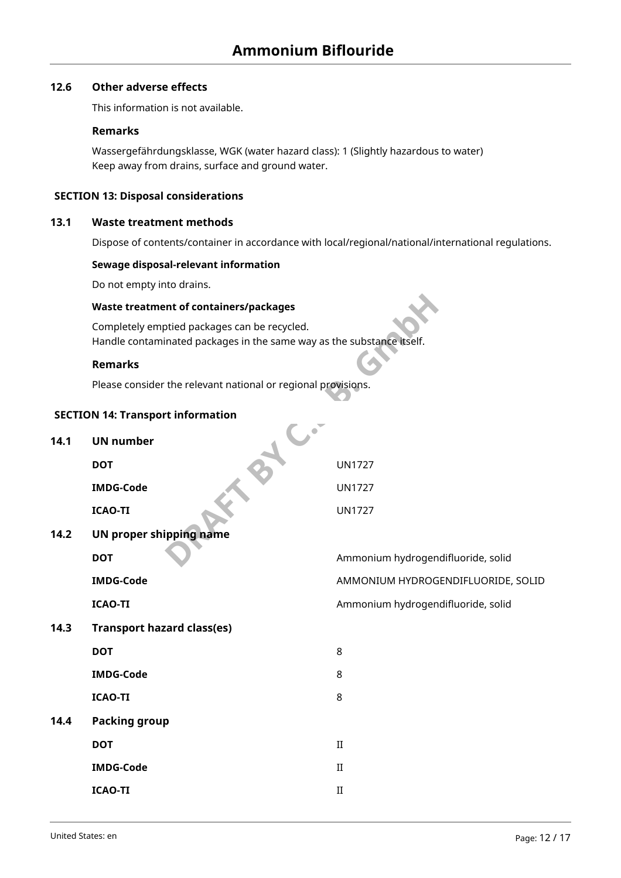# **12.6 Other adverse effects**

This information is not available.

#### **Remarks**

Wassergefährdungsklasse, WGK (water hazard class): 1 (Slightly hazardous to water) Keep away from drains, surface and ground water.

### **SECTION 13: Disposal considerations**

### **13.1 Waste treatment methods**

Dispose of contents/container in accordance with local/regional/national/international regulations.

#### **Sewage disposal-relevant information**

Do not empty into drains.

#### **Waste treatment of containers/packages**

## **Remarks**

#### **SECTION 14: Transport information**

|      | <b>Waste treatment of containers/packages</b>                                                                         |                                    |
|------|-----------------------------------------------------------------------------------------------------------------------|------------------------------------|
|      | Completely emptied packages can be recycled.<br>Handle contaminated packages in the same way as the substance itself. |                                    |
|      | <b>Remarks</b>                                                                                                        |                                    |
|      | Please consider the relevant national or regional provisions.                                                         |                                    |
|      | <b>SECTION 14: Transport information</b>                                                                              |                                    |
| 14.1 | <b>UN number</b>                                                                                                      |                                    |
|      | <b>DOT</b>                                                                                                            | <b>UN1727</b>                      |
|      | <b>IMDG-Code</b>                                                                                                      | <b>UN1727</b>                      |
|      | <b>ICAO-TI</b>                                                                                                        | <b>UN1727</b>                      |
| 14.2 | <b>UN proper shipping name</b>                                                                                        |                                    |
|      | <b>DOT</b>                                                                                                            | Ammonium hydrogendifluoride, solid |
|      | <b>IMDG-Code</b>                                                                                                      | AMMONIUM HYDROGENDIFLUORIDE, SOLID |
|      | <b>ICAO-TI</b>                                                                                                        | Ammonium hydrogendifluoride, solid |
| 14.3 | <b>Transport hazard class(es)</b>                                                                                     |                                    |
|      | <b>DOT</b>                                                                                                            | 8                                  |
|      | <b>IMDG-Code</b>                                                                                                      | 8                                  |
|      | <b>ICAO-TI</b>                                                                                                        | 8                                  |
| 14.4 | <b>Packing group</b>                                                                                                  |                                    |
|      | <b>DOT</b>                                                                                                            | $\rm II$                           |
|      | <b>IMDG-Code</b>                                                                                                      | $\mathbf{I}$                       |
|      | <b>ICAO-TI</b>                                                                                                        | $\rm II$                           |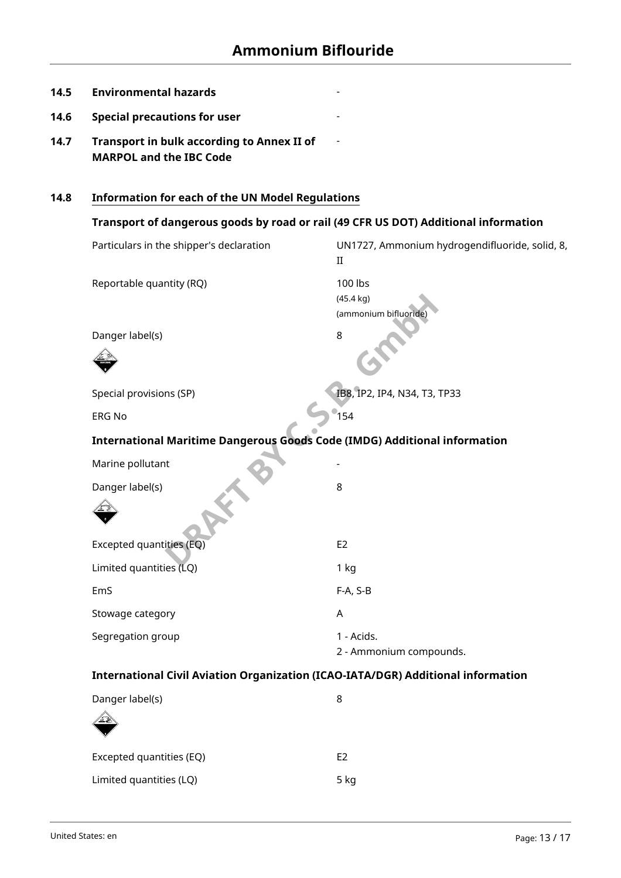-

-

-

- **14.5 Environmental hazards**
- **14.6 Special precautions for user**
- **14.7 Transport in bulk according to Annex II of MARPOL and the IBC Code**

# **14.8 Information for each of the UN Model Regulations**

# **Transport of dangerous goods by road or rail (49 CFR US DOT) Additional information**

| Particulars in the shipper's declaration                                         | UN1727, Ammonium hydrogendifluoride, solid, 8,<br>$\rm II$                              |
|----------------------------------------------------------------------------------|-----------------------------------------------------------------------------------------|
| Reportable quantity (RQ)                                                         | 100 lbs<br>$(45.4 \text{ kg})$<br>(ammonium bifluoride)                                 |
| Danger label(s)                                                                  | 8                                                                                       |
|                                                                                  |                                                                                         |
| Special provisions (SP)                                                          | IB8, IP2, IP4, N34, T3, TP33                                                            |
| <b>ERG No</b>                                                                    | $^{\bullet}$ 154                                                                        |
| <b>International Maritime Dangerous Goods Code (IMDG) Additional information</b> |                                                                                         |
| Marine pollutant                                                                 |                                                                                         |
| Danger label(s)                                                                  | 8                                                                                       |
|                                                                                  |                                                                                         |
| Excepted quantities (EQ)                                                         | E <sub>2</sub>                                                                          |
| Limited quantities (LQ)                                                          | 1 kg                                                                                    |
| EmS                                                                              | F-A, S-B                                                                                |
| Stowage category                                                                 | A                                                                                       |
| Segregation group                                                                | 1 - Acids.<br>2 - Ammonium compounds.                                                   |
|                                                                                  | <b>International Civil Aviation Organization (ICAO-IATA/DGR) Additional information</b> |
| Danger label(s)                                                                  | 8                                                                                       |
|                                                                                  |                                                                                         |
| Excepted quantities (EQ)                                                         | E <sub>2</sub>                                                                          |
| Limited quantities (LQ)                                                          | 5 kg                                                                                    |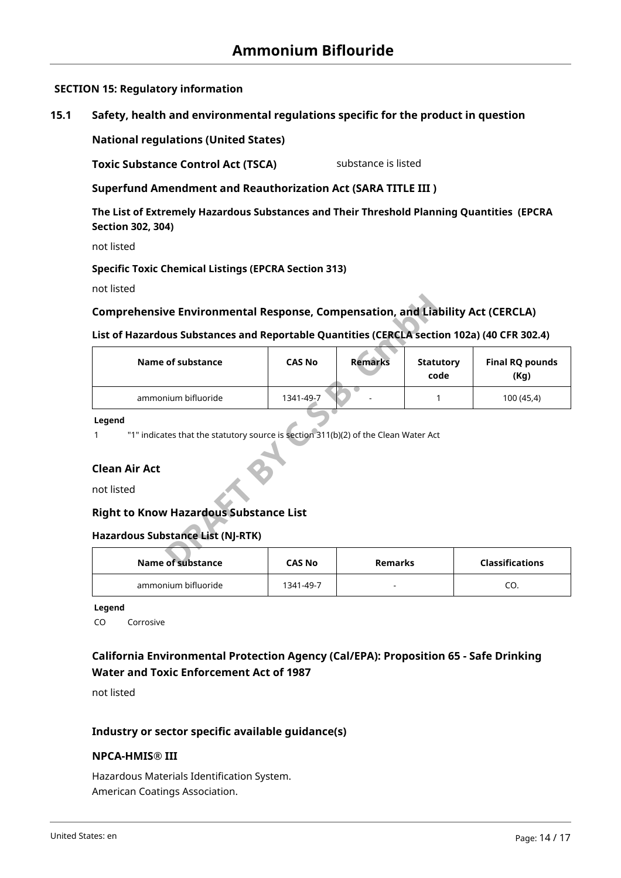# **SECTION 15: Regulatory information**

**15.1 Safety, health and environmental regulations specific for the product in question**

**National regulations (United States)**

**Toxic Substance Control Act (TSCA)** substance is listed

**Superfund Amendment and Reauthorization Act (SARA TITLE III )**

**The List of Extremely Hazardous Substances and Their Threshold Planning Quantities (EPCRA Section 302, 304)**

not listed

### **Specific Toxic Chemical Listings (EPCRA Section 313)**

not listed

# **Comprehensive Environmental Response, Compensation, and Liability Act (CERCLA)**

#### **List of Hazardous Substances and Reportable Quantities (CERCLA section 102a) (40 CFR 302.4)**

| Comprehensive Environmental Response, Compensation, and Liability Act (CERCLA)                                            |               |                |                          |                                |
|---------------------------------------------------------------------------------------------------------------------------|---------------|----------------|--------------------------|--------------------------------|
| List of Hazardous Substances and Reportable Quantities (CERCLA section 102a) (40 CFR 302.4)                               |               |                |                          |                                |
| Name of substance                                                                                                         | <b>CAS No</b> | <b>Remarks</b> | <b>Statutory</b><br>code | <b>Final RQ pounds</b><br>(Kg) |
| ammonium bifluoride                                                                                                       | 1341-49-7     |                |                          | 100 (45,4)                     |
| "1" indicates that the statutory source is section 311(b)(2) of the Clean Water Act<br><b>Clean Air Act</b><br>not listed |               |                |                          |                                |
| <b>Right to Know Hazardous Substance List</b>                                                                             |               |                |                          |                                |
| <b>Hazardous Substance List (NJ-RTK)</b>                                                                                  |               |                |                          |                                |
| Name of substance                                                                                                         | <b>CAS No</b> | <b>Remarks</b> |                          | <b>Classifications</b>         |

# **Clean Air Act**

#### **Right to Know Hazardous Substance List**

#### **Hazardous Substance List (NJ-RTK)**

| Name of substance   | <b>CAS No</b> | Remarks | <b>Classifications</b> |
|---------------------|---------------|---------|------------------------|
| ammonium bifluoride | 1341-49-7     |         | cv.                    |

**Legend**

CO Corrosive

# **California Environmental Protection Agency (Cal/EPA): Proposition 65 - Safe Drinking Water and Toxic Enforcement Act of 1987**

not listed

# **Industry or sector specific available guidance(s)**

#### **NPCA-HMIS® III**

Hazardous Materials Identification System. American Coatings Association.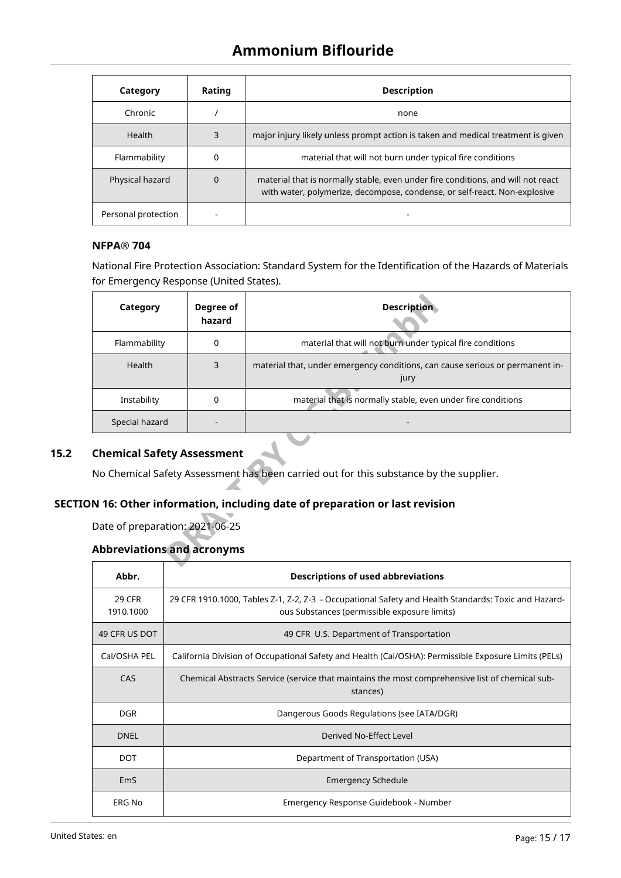| Category            | Rating   | <b>Description</b>                                                                                                                                            |
|---------------------|----------|---------------------------------------------------------------------------------------------------------------------------------------------------------------|
| Chronic             |          | none                                                                                                                                                          |
| Health              | 3        | major injury likely unless prompt action is taken and medical treatment is given                                                                              |
| Flammability        | 0        | material that will not burn under typical fire conditions                                                                                                     |
| Physical hazard     | $\Omega$ | material that is normally stable, even under fire conditions, and will not react<br>with water, polymerize, decompose, condense, or self-react. Non-explosive |
| Personal protection |          |                                                                                                                                                               |

# **NFPA® 704**

National Fire Protection Association: Standard System for the Identification of the Hazards of Materials for Emergency Response (United States).

| Category                                                                                                                    | Degree of<br>hazard | <b>Description</b>                                                                    |  |  |
|-----------------------------------------------------------------------------------------------------------------------------|---------------------|---------------------------------------------------------------------------------------|--|--|
| Flammability                                                                                                                | $\Omega$            | material that will not burn under typical fire conditions                             |  |  |
| <b>Health</b>                                                                                                               | 3                   | material that, under emergency conditions, can cause serious or permanent in-<br>jury |  |  |
| Instability                                                                                                                 | $\Omega$            | material that is normally stable, even under fire conditions                          |  |  |
| Special hazard                                                                                                              |                     |                                                                                       |  |  |
| <b>Chemical Safety Assessment</b><br>No Chemical Safety Assessment has been carried out for this substance by the supplier. |                     |                                                                                       |  |  |
|                                                                                                                             |                     | N 16: Other information, including date of preparation or last revision               |  |  |
| Date of preparation: 2021-06-25                                                                                             |                     |                                                                                       |  |  |
| <b>Abbreviations and acronyms</b>                                                                                           |                     |                                                                                       |  |  |
|                                                                                                                             |                     |                                                                                       |  |  |

# **15.2 Chemical Safety Assessment**

# **SECTION 16: Other information, including date of preparation or last revision**

# **Abbreviations and acronyms**

| Abbr.                      | <b>Descriptions of used abbreviations</b>                                                                                                            |
|----------------------------|------------------------------------------------------------------------------------------------------------------------------------------------------|
| <b>29 CFR</b><br>1910.1000 | 29 CFR 1910.1000, Tables Z-1, Z-2, Z-3 - Occupational Safety and Health Standards: Toxic and Hazard-<br>ous Substances (permissible exposure limits) |
| 49 CFR US DOT              | 49 CFR U.S. Department of Transportation                                                                                                             |
| Cal/OSHA PEL               | California Division of Occupational Safety and Health (Cal/OSHA): Permissible Exposure Limits (PELs)                                                 |
| <b>CAS</b>                 | Chemical Abstracts Service (service that maintains the most comprehensive list of chemical sub-<br>stances)                                          |
| <b>DGR</b>                 | Dangerous Goods Regulations (see IATA/DGR)                                                                                                           |
| <b>DNEL</b>                | Derived No-Effect Level                                                                                                                              |
| <b>DOT</b>                 | Department of Transportation (USA)                                                                                                                   |
| EmS                        | <b>Emergency Schedule</b>                                                                                                                            |
| ERG No                     | Emergency Response Guidebook - Number                                                                                                                |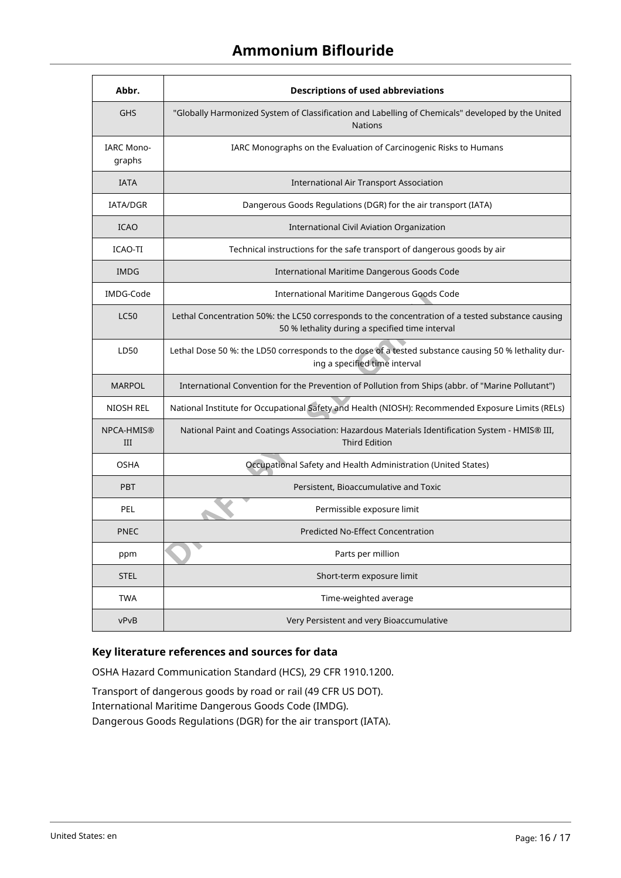# **Ammonium Biflouride**

| Abbr.                       | <b>Descriptions of used abbreviations</b>                                                                                                            |
|-----------------------------|------------------------------------------------------------------------------------------------------------------------------------------------------|
| <b>GHS</b>                  | "Globally Harmonized System of Classification and Labelling of Chemicals" developed by the United<br><b>Nations</b>                                  |
| <b>IARC Mono-</b><br>graphs | IARC Monographs on the Evaluation of Carcinogenic Risks to Humans                                                                                    |
| <b>IATA</b>                 | International Air Transport Association                                                                                                              |
| <b>IATA/DGR</b>             | Dangerous Goods Regulations (DGR) for the air transport (IATA)                                                                                       |
| <b>ICAO</b>                 | International Civil Aviation Organization                                                                                                            |
| <b>ICAO-TI</b>              | Technical instructions for the safe transport of dangerous goods by air                                                                              |
| <b>IMDG</b>                 | International Maritime Dangerous Goods Code                                                                                                          |
| IMDG-Code                   | International Maritime Dangerous Goods Code                                                                                                          |
| <b>LC50</b>                 | Lethal Concentration 50%: the LC50 corresponds to the concentration of a tested substance causing<br>50 % lethality during a specified time interval |
| LD50                        | Lethal Dose 50 %: the LD50 corresponds to the dose of a tested substance causing 50 % lethality dur-<br>ing a specified time interval                |
| <b>MARPOL</b>               | International Convention for the Prevention of Pollution from Ships (abbr. of "Marine Pollutant")                                                    |
| NIOSH REL                   | National Institute for Occupational Safety and Health (NIOSH): Recommended Exposure Limits (RELs)                                                    |
| NPCA-HMIS®<br>III           | National Paint and Coatings Association: Hazardous Materials Identification System - HMIS® III,<br><b>Third Edition</b>                              |
| <b>OSHA</b>                 | Occupational Safety and Health Administration (United States)                                                                                        |
| <b>PBT</b>                  | Persistent, Bioaccumulative and Toxic                                                                                                                |
| PEL                         | Permissible exposure limit                                                                                                                           |
| PNEC                        | <b>Predicted No-Effect Concentration</b>                                                                                                             |
| ppm                         | Parts per million                                                                                                                                    |
| <b>STEL</b>                 | Short-term exposure limit                                                                                                                            |
| <b>TWA</b>                  | Time-weighted average                                                                                                                                |
| vPvB                        | Very Persistent and very Bioaccumulative                                                                                                             |

# **Key literature references and sources for data**

OSHA Hazard Communication Standard (HCS), 29 CFR 1910.1200.

Transport of dangerous goods by road or rail (49 CFR US DOT). International Maritime Dangerous Goods Code (IMDG). Dangerous Goods Regulations (DGR) for the air transport (IATA).